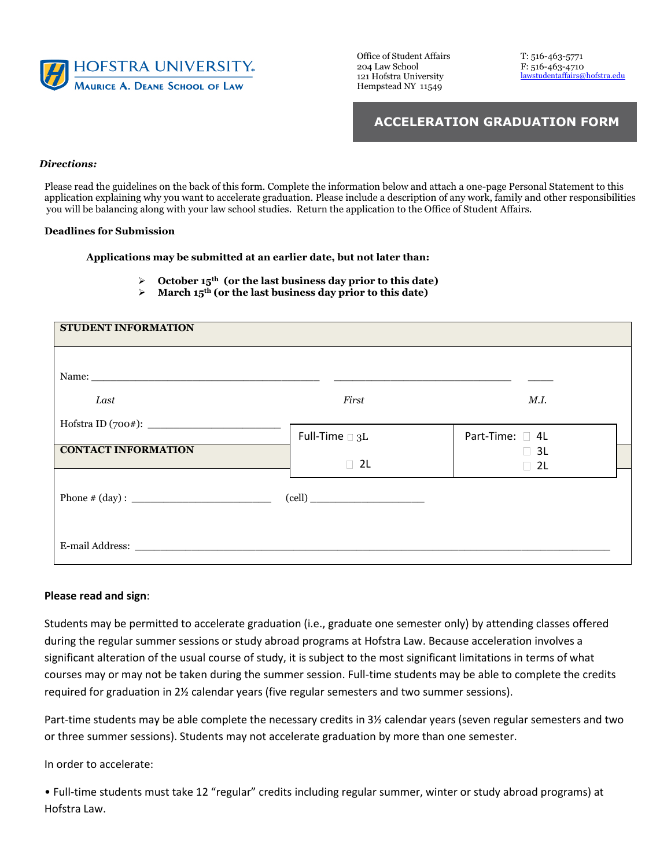

Office of Student Affairs T: 516-463-5771 121 Hofstra University Hempstead NY 11549

204 Law School F: 516-463-4710<br>121 Hofstra University lawstudentaffairs@hofstra.edu

## **ACCELERATION GRADUATION FORM**

## *Directions:*

Please read the guidelines on the back of this form. Complete the information below and attach a one-page Personal Statement to this application explaining why you want to accelerate graduation. Please include a description of any work, family and other responsibilities you will be balancing along with your law school studies. Return the application to the Office of Student Affairs.

## **Deadlines for Submission**

**Applications may be submitted at an earlier date, but not later than:** 

- ➢ **October 15th (or the last business day prior to this date)**
- ➢ **March 15th (or the last business day prior to this date)**

| STUDENT INFORMATION        |                            |                        |
|----------------------------|----------------------------|------------------------|
|                            |                            |                        |
| Last                       | First                      | M.I.                   |
| <b>CONTACT INFORMATION</b> | Full-Time $\square$ 3L     | Part-Time: □ 4L        |
|                            | $\Box$ 2L                  | $\Box$ 3L<br>$\Box$ 2L |
|                            | $\left(\text{cell}\right)$ |                        |
|                            |                            |                        |
|                            |                            |                        |

## **Please read and sign**:

Students may be permitted to accelerate graduation (i.e., graduate one semester only) by attending classes offered during the regular summer sessions or study abroad programs at Hofstra Law. Because acceleration involves a significant alteration of the usual course of study, it is subject to the most significant limitations in terms of what courses may or may not be taken during the summer session. Full-time students may be able to complete the credits required for graduation in 2½ calendar years (five regular semesters and two summer sessions).

Part-time students may be able complete the necessary credits in 3½ calendar years (seven regular semesters and two or three summer sessions). Students may not accelerate graduation by more than one semester.

In order to accelerate:

• Full-time students must take 12 "regular" credits including regular summer, winter or study abroad programs) at Hofstra Law.